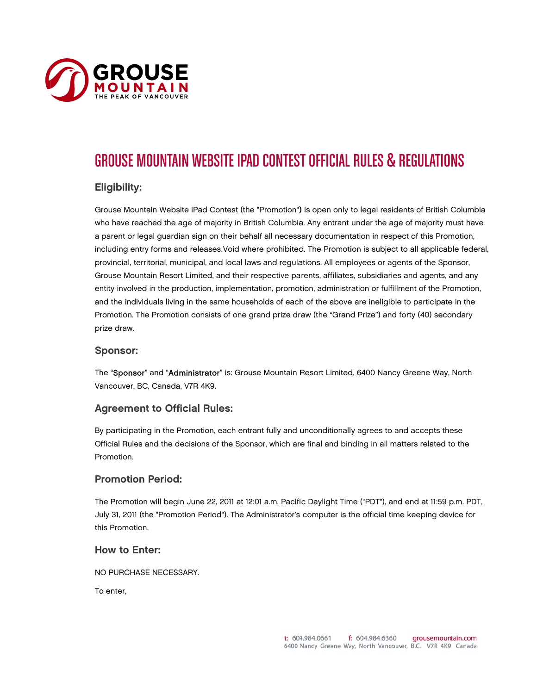

# GROUSE MOUNTAIN WEBSITE IPAD CONTEST OFFICIAL RULES & REGULATIONS

# E Eligibility:

Grouse Mountain Website iPad Contest (the "Promotion") is open only to legal residents of British Columbia who have reached the age of majority in British Columbia. Any entrant under the age of majority must have a parent or legal guardian sign on their behalf all necessary documentation in respect of this Promotion, including entry forms and releases.Void where prohibited. The Promotion is subject to all applicable federal, provincial, territorial, municipal, and local laws and regulations. All employees or agents of the Sponsor, Grouse Mountain Resort Limited, and their respective parents, affiliates, subsidiaries and agents, and any entity involved in the production, implementation, promotion, administration or fulfillment of the Promotion, and the individuals living in the same households of each of the above are ineligible to participate in the Promotion. The Promotion consists of one grand prize draw (the "Grand Prize") and forty (40) secondary p rize draw.

#### S Sponsor:

The "**Sponsor**" and "**Administrator**" is: Grouse Mountain Resort Limited, 6400 Nancy Greene Way, North Va ancouver, BC, Canada, V7R 4K9.

### A Agreement to Official Rules:

By participating in the Promotion, each entrant fully and unconditionally agrees to and accepts these Official Rules and the decisions of the Sponsor, which are final and binding in all matters related to the Pr romotion.

# P Promotion P Period:

The Promotion will begin June 22, 2011 at 12:01 a.m. Pacific Daylight Time ("PDT"), and end at 11:59 p.m. PDT, July 31, 2011 (the "Promotion Period"). The Administrator's computer is the official time keeping device for th his Promotion.

#### How to Enter:

N O PURCHASE NECESSARY.

To enter,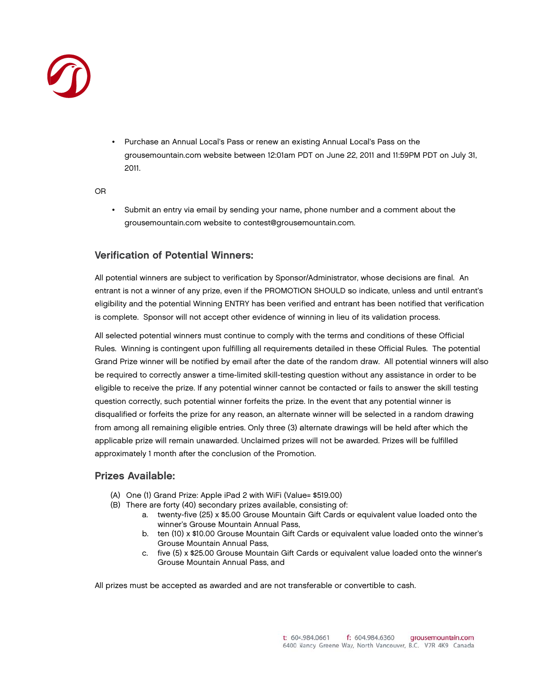

• Purchase an Annual Local's Pass or renew an existing Annual Local's Pass on the grousemountain.com website between 12:01am PDT on June 22, 2011 and 11:59PM PDT on July 31, 2011.

O OR

• Submit an entry via email by sending your name, phone number and a comment about the grousemountain.com website to contest@grousemountain.com.

# Verification of Potential Winners:

All potential winners are subject to verification by Sponsor/Administrator, whose decisions are final. An l entrant is not a winner of any prize, even if the PROMOTION SHOULD so indicate, unless and until entrant's eligibility and the potential Winning ENTRY has been verified and entrant has been notified that verification is complete. Sponsor will not accept other evidence of winning in lieu of its validation process.

All selected potential winners must continue to comply with the terms and conditions of these Official Rules. Winning is contingent upon fulfilling all requirements detailed in these Official Rules. The potential Grand Prize winner will be notified by email after the date of the random draw. All potential winners will also be required to correctly answer a time-limited skill-testing question without any assistance in order to be eligible to receive the prize. If any potential winner cannot be contacted or fails to answer the skill testing question correctly, such potential winner forfeits the prize. In the event that any potential winner is disqualified or forfeits the prize for any reason, an alternate winner will be selected in a random drawing from among all remaining eligible entries. Only three (3) alternate drawings will be held after which the applicable prize will remain unawarded. Unclaimed prizes will not be awarded. Prizes will be fulfilled ap pproximately 1 month after t he conclusion of the Promot tion.

# P Prizes Avail able:

- (A) One (1) Grand Prize: Apple iPad 2 with WiFi (Value= \$519.00)
- (B) There are forty (40) secondary prizes available, consisting of:
	- a. twenty-five (25) x \$5.00 Grouse Mountain Gift Cards or equivalent value loaded onto the winner's Grouse Mountain Annual Pass,
	- b. ten (10) x \$10.00 Grouse Mountain Gift Cards or equivalent value loaded onto the winner's Grouse Mountain Annual Pass,
	- c. five (5) x \$25.00 Grouse Mountain Gift Cards or equivalent value loaded onto the winner's Grouse Mou untain Annual P Pass, and

All prizes must be accepted as awarded and are not transferable or convertible to cash.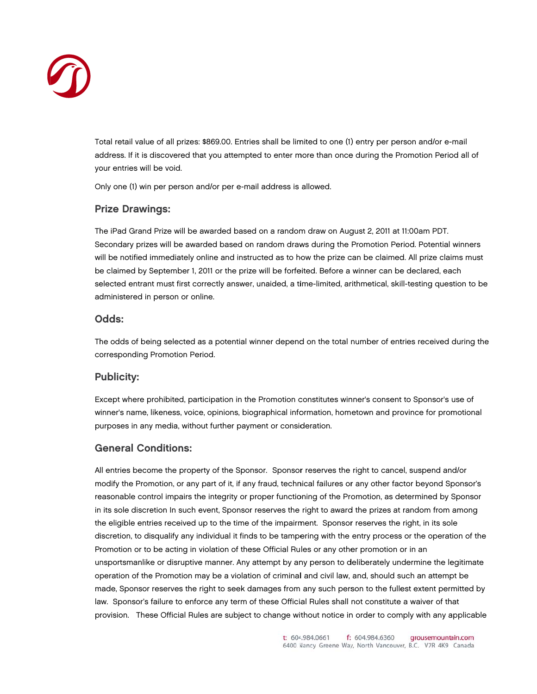

Total retail value of all prizes: \$869.00. Entries shall be limited to one (1) entry per person and/or e-mail address. If it is discovered that you attempted to enter more than once during the Promotion Period all of your entries will be void.

Only one (1) win per person and/or per e-mail address is allowed.

# P Prize Drawi ngs:

The iPad Grand Prize will be awarded based on a random draw on August 2, 2011 at 11:00am PDT. Secondary prizes will be awarded based on random draws during the Promotion Period. Potential winners will be notified immediately online and instructed as to how the prize can be claimed. All prize claims must be claimed by September 1, 2011 or the prize will be forfeited. Before a winner can be declared, each  $\,$ selected entrant must first correctly answer, unaided, a time-limited, arithmetical, skill-testing question to be administered in person or online.

# O Odds:

The odds of being selected as a potential winner depend on the total number of entries received during the corresponding Promotion Period.

# P Publicity:

Except where prohibited, participation in the Promotion constitutes winner's consent to Sponsor's use of winner's name, likeness, voice, opinions, biographical information, hometown and province for promotional purposes in any media, without further payment or consideration.

# G General Co nditions:

All entries become the property of the Sponsor. Sponsor reserves the right to cancel, suspend and/or modify the Promotion, or any part of it, if any fraud, technical failures or any other factor beyond Sponsor's reasonable control impairs the integrity or proper functioning of the Promotion, as determined by Sponsor in its sole discretion In such event, Sponsor reserves the right to award the prizes at random from among the eligible entries received up to the time of the impairment. Sponsor reserves the right, in its sole discretion, to disqualify any individual it finds to be tampering with the entry process or the operation of the Promotion or to be acting in violation of these Official Rules or any other promotion or in an  $\,$ unsportsmanlike or disruptive manner. Any attempt by any person to deliberately undermine the legitimate operation of the Promotion may be a violation of criminal and civil law, and, should such an attempt be made, Sponsor reserves the right to seek damages from any such person to the fullest extent permitted by law. Sponsor's failure to enforce any term of these Official Rules shall not constitute a waiver of that provision. These Official Rules are subject to change without notice in order to comply with any applicable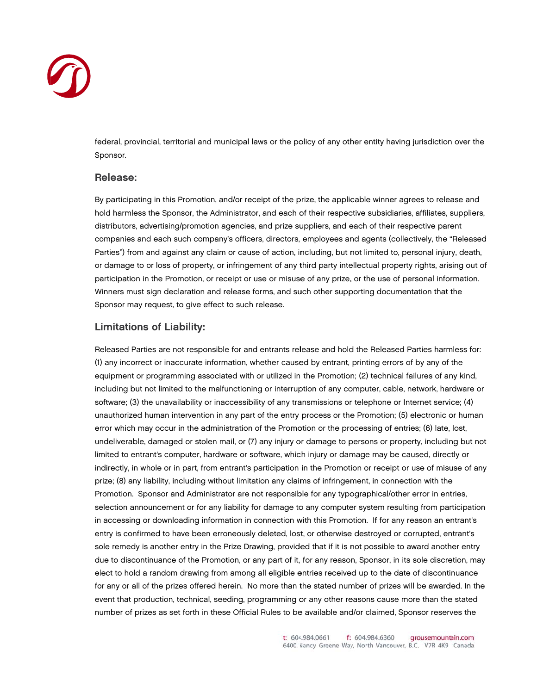

federal, provincial, territorial and municipal laws or the policy of any other entity having jurisdiction over the Sponsor.

#### Release:

By participating in this Promotion, and/or receipt of the prize, the applicable winner agrees to release and hold harmless the Sponsor, the Administrator, and each of their respective subsidiaries, affiliates, suppliers, distributors, advertising/promotion agencies, and prize suppliers, and each of their respective parent companies and each such company's officers, directors, employees and agents (collectively, the "Released Parties") from and against any claim or cause of action, including, but not limited to, personal injury, death, or damage to or loss of property, or infringement of any third party intellectual property rights, arising out of participation in the Promotion, or receipt or use or misuse of any prize, or the use of personal information. Winners must sign declaration and release forms, and such other supporting documentation that the Sponsor may request, to give effect to such release.

#### **Limitations of Liability:**

Released Parties are not responsible for and entrants release and hold the Released Parties harmless for: (1) any incorrect or inaccurate information, whether caused by entrant, printing errors of by any of the equipment or programming associated with or utilized in the Promotion; (2) technical failures of any kind, including but not limited to the malfunctioning or interruption of any computer, cable, network, hardware or software; (3) the unavailability or inaccessibility of any transmissions or telephone or Internet service; (4) unauthorized human intervention in any part of the entry process or the Promotion; (5) electronic or human error which may occur in the administration of the Promotion or the processing of entries; (6) late, lost, undeliverable, damaged or stolen mail, or (7) any injury or damage to persons or property, including but not limited to entrant's computer, hardware or software, which injury or damage may be caused, directly or indirectly, in whole or in part, from entrant's participation in the Promotion or receipt or use of misuse of any prize; (8) any liability, including without limitation any claims of infringement, in connection with the Promotion. Sponsor and Administrator are not responsible for any typographical/other error in entries, selection announcement or for any liability for damage to any computer system resulting from participation in accessing or downloading information in connection with this Promotion. If for any reason an entrant's entry is confirmed to have been erroneously deleted, lost, or otherwise destroyed or corrupted, entrant's sole remedy is another entry in the Prize Drawing, provided that if it is not possible to award another entry due to discontinuance of the Promotion, or any part of it, for any reason, Sponsor, in its sole discretion, may elect to hold a random drawing from among all eligible entries received up to the date of discontinuance for any or all of the prizes offered herein. No more than the stated number of prizes will be awarded. In the event that production, technical, seeding, programming or any other reasons cause more than the stated number of prizes as set forth in these Official Rules to be available and/or claimed, Sponsor reserves the